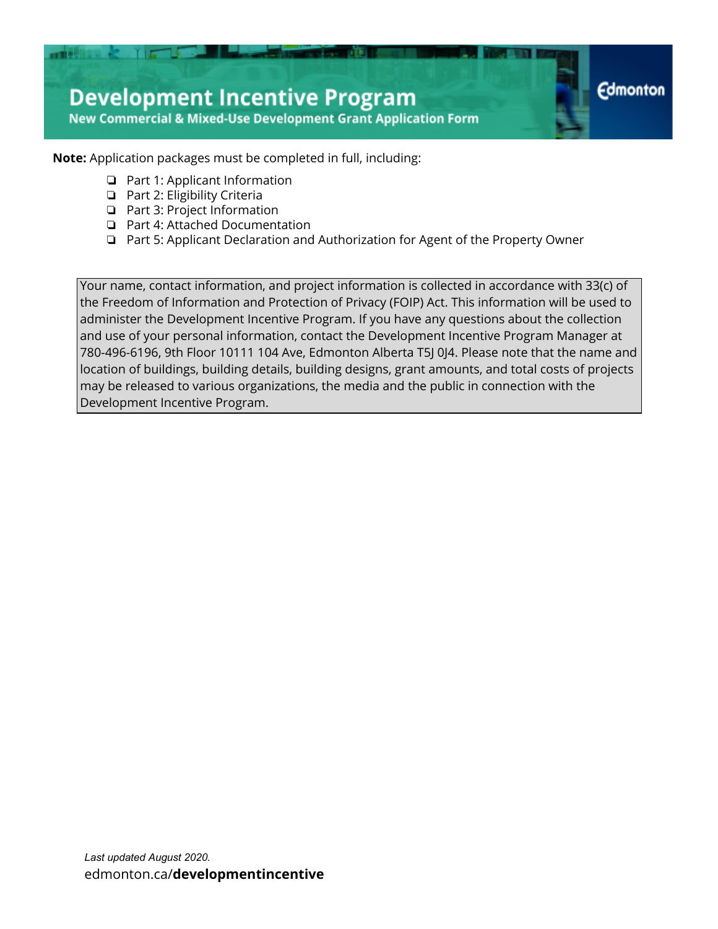

**Note:** Application packages must be completed in full, including:

- ❏ Part 1: Applicant Information
- ❏ Part 2: Eligibility Criteria
- ❏ Part 3: Project Information
- ❏ Part 4: Attached Documentation
- ❏ Part 5: Applicant Declaration and Authorization for Agent of the Property Owner

Your name, contact information, and project information is collected in accordance with 33(c) of the Freedom of Information and Protection of Privacy (FOIP) Act. This information will be used to administer the Development Incentive Program. If you have any questions about the collection and use of your personal information, contact the Development Incentive Program Manager at 780-496-6196, 9th Floor 10111 104 Ave, Edmonton Alberta T5J 0J4. Please note that the name and location of buildings, building details, building designs, grant amounts, and total costs of projects may be released to various organizations, the media and the public in connection with the Development Incentive Program.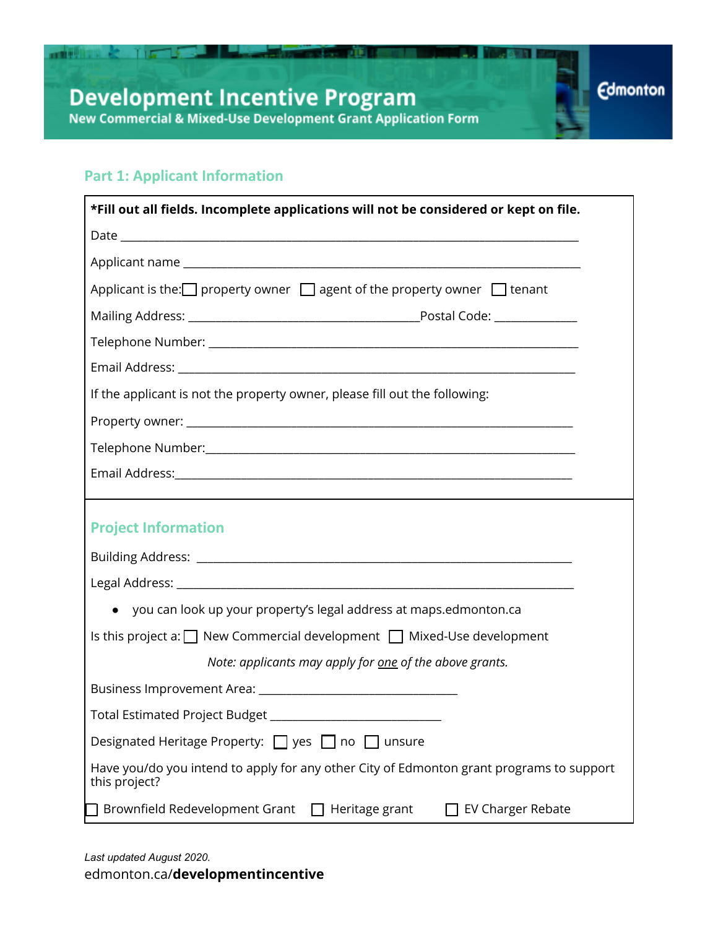**Silvers of the** 

**Edmonton** 

### **Part 1: Applicant Information**

■■理想集 & 了」 「

| *Fill out all fields. Incomplete applications will not be considered or kept on file.                     |  |  |  |
|-----------------------------------------------------------------------------------------------------------|--|--|--|
|                                                                                                           |  |  |  |
|                                                                                                           |  |  |  |
| Applicant is the: $\Box$ property owner $\Box$ agent of the property owner $\Box$ tenant                  |  |  |  |
|                                                                                                           |  |  |  |
|                                                                                                           |  |  |  |
|                                                                                                           |  |  |  |
| If the applicant is not the property owner, please fill out the following:                                |  |  |  |
|                                                                                                           |  |  |  |
|                                                                                                           |  |  |  |
|                                                                                                           |  |  |  |
|                                                                                                           |  |  |  |
| <b>Project Information</b>                                                                                |  |  |  |
|                                                                                                           |  |  |  |
|                                                                                                           |  |  |  |
| • you can look up your property's legal address at maps.edmonton.ca                                       |  |  |  |
| Is this project a: $\Box$ New Commercial development $\Box$ Mixed-Use development                         |  |  |  |
| Note: applicants may apply for one of the above grants.                                                   |  |  |  |
|                                                                                                           |  |  |  |
| Total Estimated Project Budget _______________________________                                            |  |  |  |
| Designated Heritage Property: $\Box$ yes<br>no<br>unsure                                                  |  |  |  |
| Have you/do you intend to apply for any other City of Edmonton grant programs to support<br>this project? |  |  |  |
| Brownfield Redevelopment Grant<br>EV Charger Rebate<br>Heritage grant                                     |  |  |  |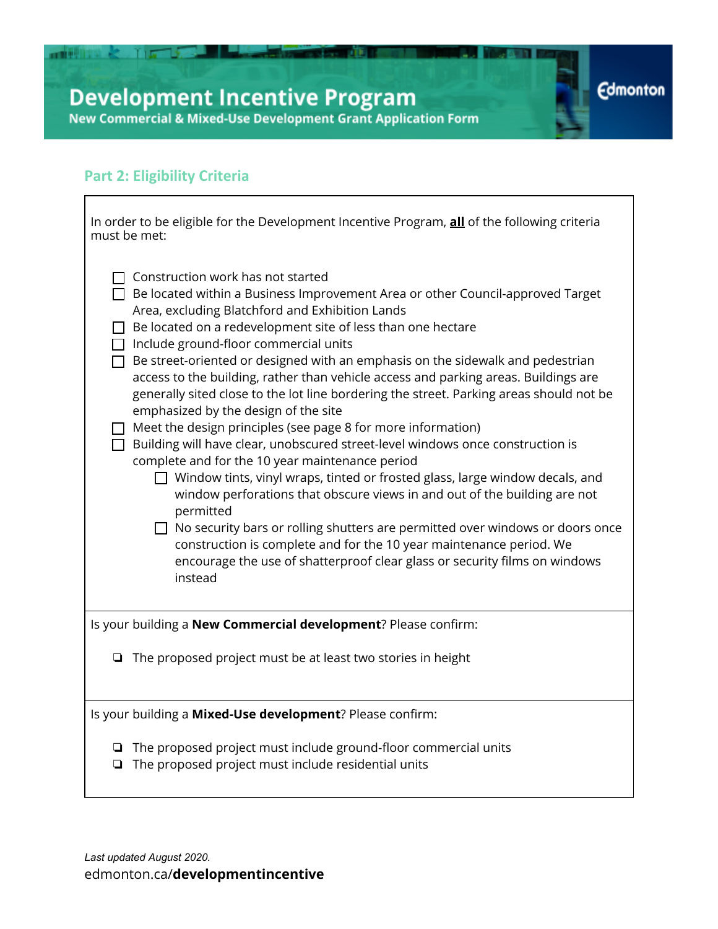# **Development Incentive Program**<br>New Commercial & Mixed-Use Development Grant Application Form

**Contract of Management Street of D** 

31 I

**Edmonton** 

## **Part 2: Eligibility Criteria**

**THE REAL PROPERTY AND INCOME.** 

 $\overline{\Gamma}$ 

| In order to be eligible for the Development Incentive Program, all of the following criteria<br>must be met:                                                                                                                                                                                                                                                                                                                                                                                                                                                                                                                                                                                                                                                                                                                                                                                                                                                                                                                                                                                                                                                                                                                                                         |  |  |  |
|----------------------------------------------------------------------------------------------------------------------------------------------------------------------------------------------------------------------------------------------------------------------------------------------------------------------------------------------------------------------------------------------------------------------------------------------------------------------------------------------------------------------------------------------------------------------------------------------------------------------------------------------------------------------------------------------------------------------------------------------------------------------------------------------------------------------------------------------------------------------------------------------------------------------------------------------------------------------------------------------------------------------------------------------------------------------------------------------------------------------------------------------------------------------------------------------------------------------------------------------------------------------|--|--|--|
| Construction work has not started<br>$\Box$ Be located within a Business Improvement Area or other Council-approved Target<br>Area, excluding Blatchford and Exhibition Lands<br>Be located on a redevelopment site of less than one hectare<br>$\Box$ Include ground-floor commercial units<br>Be street-oriented or designed with an emphasis on the sidewalk and pedestrian<br>access to the building, rather than vehicle access and parking areas. Buildings are<br>generally sited close to the lot line bordering the street. Parking areas should not be<br>emphasized by the design of the site<br>$\Box$ Meet the design principles (see page 8 for more information)<br>$\Box$ Building will have clear, unobscured street-level windows once construction is<br>complete and for the 10 year maintenance period<br>$\Box$ Window tints, vinyl wraps, tinted or frosted glass, large window decals, and<br>window perforations that obscure views in and out of the building are not<br>permitted<br>$\Box$ No security bars or rolling shutters are permitted over windows or doors once<br>construction is complete and for the 10 year maintenance period. We<br>encourage the use of shatterproof clear glass or security films on windows<br>instead |  |  |  |
| Is your building a New Commercial development? Please confirm:                                                                                                                                                                                                                                                                                                                                                                                                                                                                                                                                                                                                                                                                                                                                                                                                                                                                                                                                                                                                                                                                                                                                                                                                       |  |  |  |
| The proposed project must be at least two stories in height<br>❏                                                                                                                                                                                                                                                                                                                                                                                                                                                                                                                                                                                                                                                                                                                                                                                                                                                                                                                                                                                                                                                                                                                                                                                                     |  |  |  |
| Is your building a Mixed-Use development? Please confirm:                                                                                                                                                                                                                                                                                                                                                                                                                                                                                                                                                                                                                                                                                                                                                                                                                                                                                                                                                                                                                                                                                                                                                                                                            |  |  |  |
| $\Box$ The proposed project must include ground-floor commercial units<br>The proposed project must include residential units<br>❏                                                                                                                                                                                                                                                                                                                                                                                                                                                                                                                                                                                                                                                                                                                                                                                                                                                                                                                                                                                                                                                                                                                                   |  |  |  |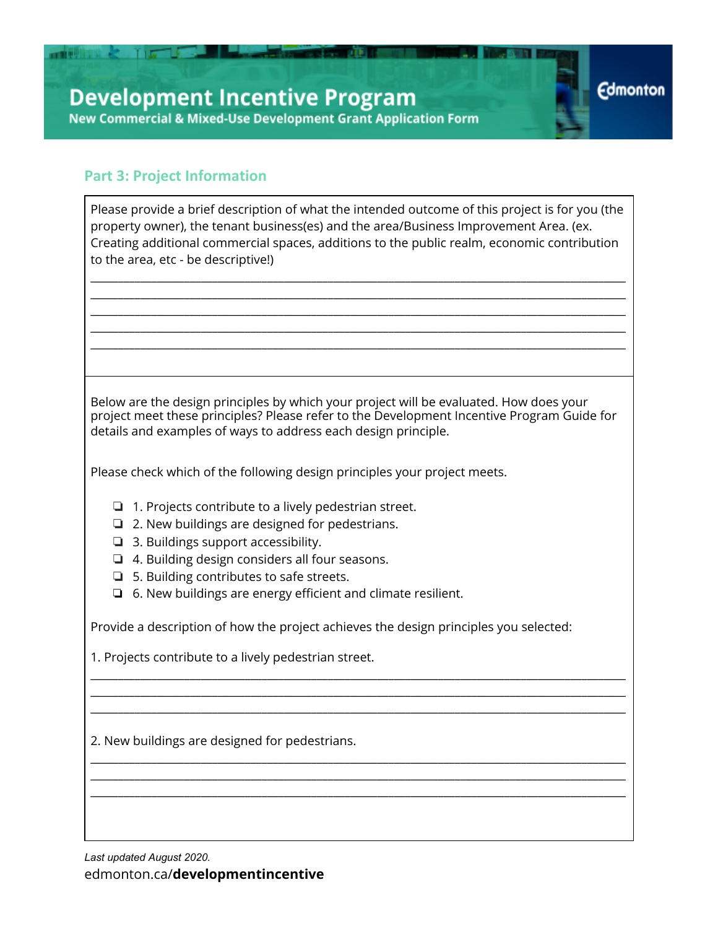### **Part 3: Project Information**

■■ 型目 → 【 】 【 】

| Please provide a brief description of what the intended outcome of this project is for you (the<br>property owner), the tenant business(es) and the area/Business Improvement Area. (ex.<br>Creating additional commercial spaces, additions to the public realm, economic contribution |  |  |  |
|-----------------------------------------------------------------------------------------------------------------------------------------------------------------------------------------------------------------------------------------------------------------------------------------|--|--|--|
| to the area, etc - be descriptive!)                                                                                                                                                                                                                                                     |  |  |  |
|                                                                                                                                                                                                                                                                                         |  |  |  |
|                                                                                                                                                                                                                                                                                         |  |  |  |
|                                                                                                                                                                                                                                                                                         |  |  |  |
| Below are the design principles by which your project will be evaluated. How does your<br>project meet these principles? Please refer to the Development Incentive Program Guide for<br>details and examples of ways to address each design principle.                                  |  |  |  |
| Please check which of the following design principles your project meets.                                                                                                                                                                                                               |  |  |  |
| 1. Projects contribute to a lively pedestrian street.<br>Q.<br>2. New buildings are designed for pedestrians.<br>❏<br>3. Buildings support accessibility.<br>❏                                                                                                                          |  |  |  |
| 4. Building design considers all four seasons.<br>❏<br>5. Building contributes to safe streets.<br>❏                                                                                                                                                                                    |  |  |  |
| 6. New buildings are energy efficient and climate resilient.<br>$\Box$                                                                                                                                                                                                                  |  |  |  |
| Provide a description of how the project achieves the design principles you selected:                                                                                                                                                                                                   |  |  |  |
| 1. Projects contribute to a lively pedestrian street.                                                                                                                                                                                                                                   |  |  |  |
|                                                                                                                                                                                                                                                                                         |  |  |  |
|                                                                                                                                                                                                                                                                                         |  |  |  |
| 2. New buildings are designed for pedestrians.                                                                                                                                                                                                                                          |  |  |  |
|                                                                                                                                                                                                                                                                                         |  |  |  |
|                                                                                                                                                                                                                                                                                         |  |  |  |

**Edmonton**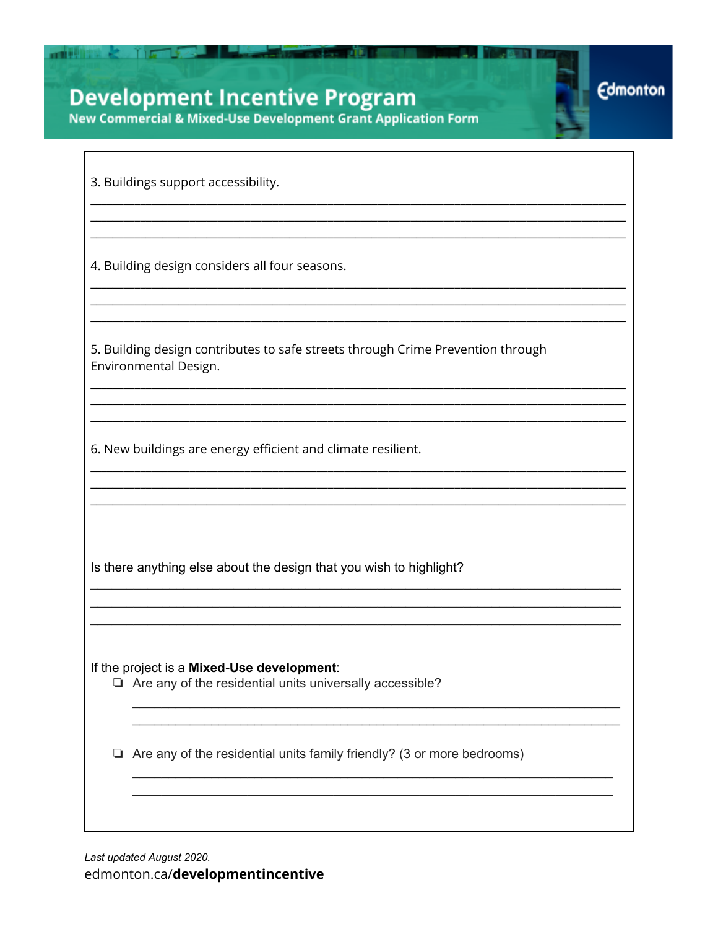# **Development Incentive Program**

New Commercial & Mixed-Use Development Grant Application Form

**Edmonton** 

3. Buildings support accessibility.

**THE REAL PROPERTY AND INCOME.** 

4. Building design considers all four seasons.

5. Building design contributes to safe streets through Crime Prevention through Environmental Design.

6. New buildings are energy efficient and climate resilient.

Is there anything else about the design that you wish to highlight?

If the project is a Mixed-Use development:

 $\Box$  Are any of the residential units universally accessible?

 $\Box$  Are any of the residential units family friendly? (3 or more bedrooms)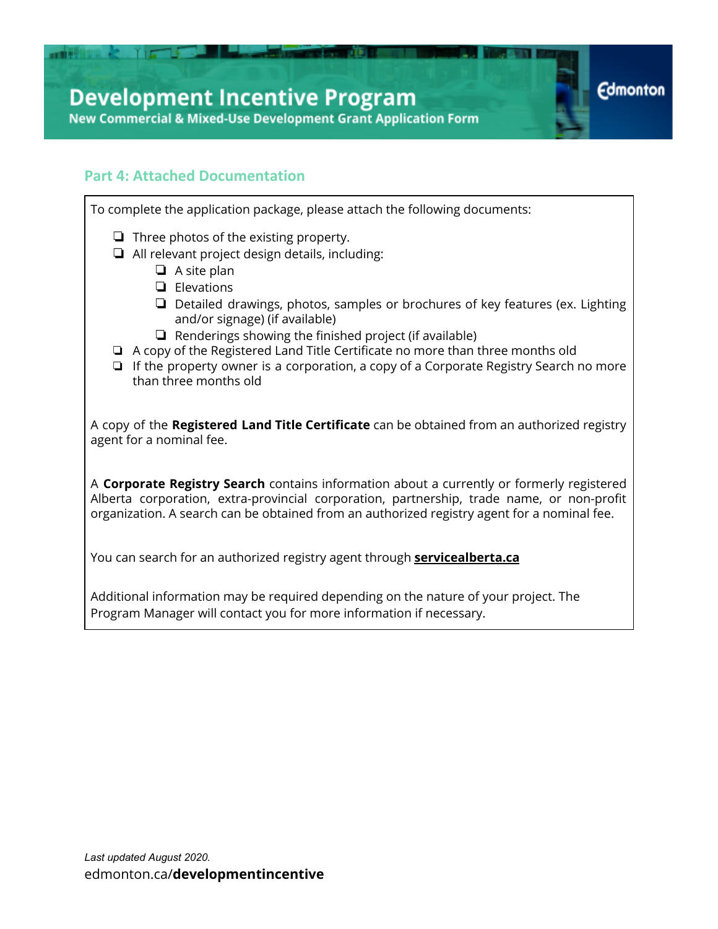# **Development Incentive Program**

**New Commercial & Mixed-Use Development Grant Application Form** 

#### **Part 4: Attached Documentation**

**TIG** 

To complete the application package, please attach the following documents: ❏ Three photos of the existing property. ❏ All relevant project design details, including: ❏ A site plan ❏ Elevations ❏ Detailed drawings, photos, samples or brochures of key features (ex. Lighting and/or signage) (if available) ❏ Renderings showing the finished project (if available) ❏ A copy of the Registered Land Title Certificate no more than three months old ❏ If the property owner is a corporation, a copy of a Corporate Registry Search no more than three months old A copy of the **Registered Land Title Certificate** can be obtained from an authorized registry agent for a nominal fee.

**Edmonton** 

A **Corporate Registry Search** contains information about a currently or formerly registered Alberta corporation, extra-provincial corporation, partnership, trade name, or non-profit organization. A search can be obtained from an authorized registry agent for a nominal fee.

You can search for an authorized registry agent through **servicealberta.ca**

Additional information may be required depending on the nature of your project. The Program Manager will contact you for more information if necessary.